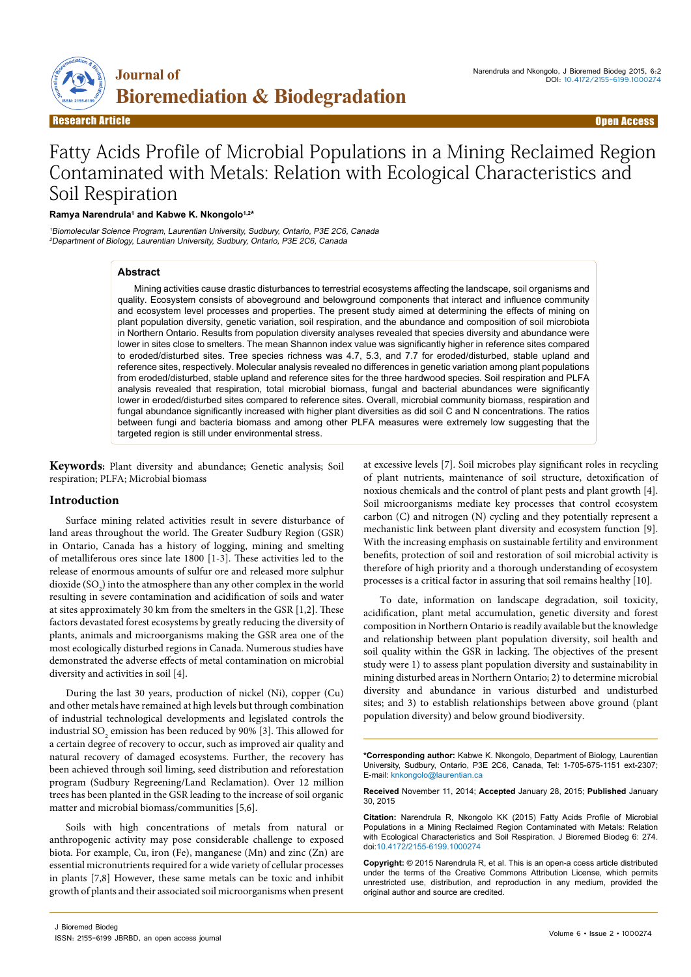

Research Article Open Access

# Fatty Acids Profile of Microbial Populations in a Mining Reclaimed Region Contaminated with Metals: Relation with Ecological Characteristics and Soil Respiration

# **Ramya Narendrula1 and Kabwe K. Nkongolo1,2\***

<sup>1</sup>Biomolecular Science Program, Laurentian University, Sudbury, Ontario, P3E 2C6, Canada <sup>2</sup>Department of Biology, Laurentian University, Sudbury, Ontario, P3E 2C6, Canada

# **Abstract**

Mining activities cause drastic disturbances to terrestrial ecosystems affecting the landscape, soil organisms and quality. Ecosystem consists of aboveground and belowground components that interact and influence community and ecosystem level processes and properties. The present study aimed at determining the effects of mining on plant population diversity, genetic variation, soil respiration, and the abundance and composition of soil microbiota in Northern Ontario. Results from population diversity analyses revealed that species diversity and abundance were lower in sites close to smelters. The mean Shannon index value was significantly higher in reference sites compared to eroded/disturbed sites. Tree species richness was 4.7, 5.3, and 7.7 for eroded/disturbed, stable upland and reference sites, respectively. Molecular analysis revealed no differences in genetic variation among plant populations from eroded/disturbed, stable upland and reference sites for the three hardwood species. Soil respiration and PLFA analysis revealed that respiration, total microbial biomass, fungal and bacterial abundances were significantly lower in eroded/disturbed sites compared to reference sites. Overall, microbial community biomass, respiration and fungal abundance significantly increased with higher plant diversities as did soil C and N concentrations. The ratios between fungi and bacteria biomass and among other PLFA measures were extremely low suggesting that the targeted region is still under environmental stress.

**Keywords:** Plant diversity and abundance; Genetic analysis; Soil respiration; PLFA; Microbial biomass

# **Introduction**

Surface mining related activities result in severe disturbance of land areas throughout the world. The Greater Sudbury Region (GSR) in Ontario, Canada has a history of logging, mining and smelting of metalliferous ores since late 1800 [1-3]. These activities led to the release of enormous amounts of sulfur ore and released more sulphur dioxide  $\text{(SO}_2)$  into the atmosphere than any other complex in the world resulting in severe contamination and acidification of soils and water at sites approximately 30 km from the smelters in the GSR [1,2]. These factors devastated forest ecosystems by greatly reducing the diversity of plants, animals and microorganisms making the GSR area one of the most ecologically disturbed regions in Canada. Numerous studies have demonstrated the adverse effects of metal contamination on microbial diversity and activities in soil [4].

During the last 30 years, production of nickel (Ni), copper (Cu) and other metals have remained at high levels but through combination of industrial technological developments and legislated controls the industrial SO<sub>2</sub> emission has been reduced by 90% [3]. This allowed for a certain degree of recovery to occur, such as improved air quality and natural recovery of damaged ecosystems. Further, the recovery has been achieved through soil liming, seed distribution and reforestation program (Sudbury Regreening/Land Reclamation). Over 12 million trees has been planted in the GSR leading to the increase of soil organic matter and microbial biomass/communities [5,6].

Soils with high concentrations of metals from natural or anthropogenic activity may pose considerable challenge to exposed biota. For example, Cu, iron (Fe), manganese (Mn) and zinc (Zn) are essential micronutrients required for a wide variety of cellular processes in plants [7,8] However, these same metals can be toxic and inhibit growth of plants and their associated soil microorganisms when present

at excessive levels [7]. Soil microbes play significant roles in recycling of plant nutrients, maintenance of soil structure, detoxification of noxious chemicals and the control of plant pests and plant growth [4]. Soil microorganisms mediate key processes that control ecosystem carbon (C) and nitrogen (N) cycling and they potentially represent a mechanistic link between plant diversity and ecosystem function [9]. With the increasing emphasis on sustainable fertility and environment benefits, protection of soil and restoration of soil microbial activity is therefore of high priority and a thorough understanding of ecosystem processes is a critical factor in assuring that soil remains healthy [10].

To date, information on landscape degradation, soil toxicity, acidification, plant metal accumulation, genetic diversity and forest composition in Northern Ontario is readily available but the knowledge and relationship between plant population diversity, soil health and soil quality within the GSR in lacking. The objectives of the present study were 1) to assess plant population diversity and sustainability in mining disturbed areas in Northern Ontario; 2) to determine microbial diversity and abundance in various disturbed and undisturbed sites; and 3) to establish relationships between above ground (plant population diversity) and below ground biodiversity.

**\*Corresponding author:** Kabwe K. Nkongolo, Department of Biology, Laurentian University, Sudbury, Ontario, P3E 2C6, Canada, Tel: 1-705-675-1151 ext-2307; E-mail: knkongolo@laurentian.ca

**Received** November 11, 2014; **Accepted** January 28, 2015; **Published** January 30, 2015

**Citation:** Narendrula R, Nkongolo KK (2015) Fatty Acids Profile of Microbial Populations in a Mining Reclaimed Region Contaminated with Metals: Relation with Ecological Characteristics and Soil Respiration. J Bioremed Biodeg 6: 274. doi:10.4172/2155-6199.1000274

**Copyright:** © 2015 Narendrula R, et al. This is an open-a ccess article distributed under the terms of the Creative Commons Attribution License, which permits unrestricted use, distribution, and reproduction in any medium, provided the original author and source are credited.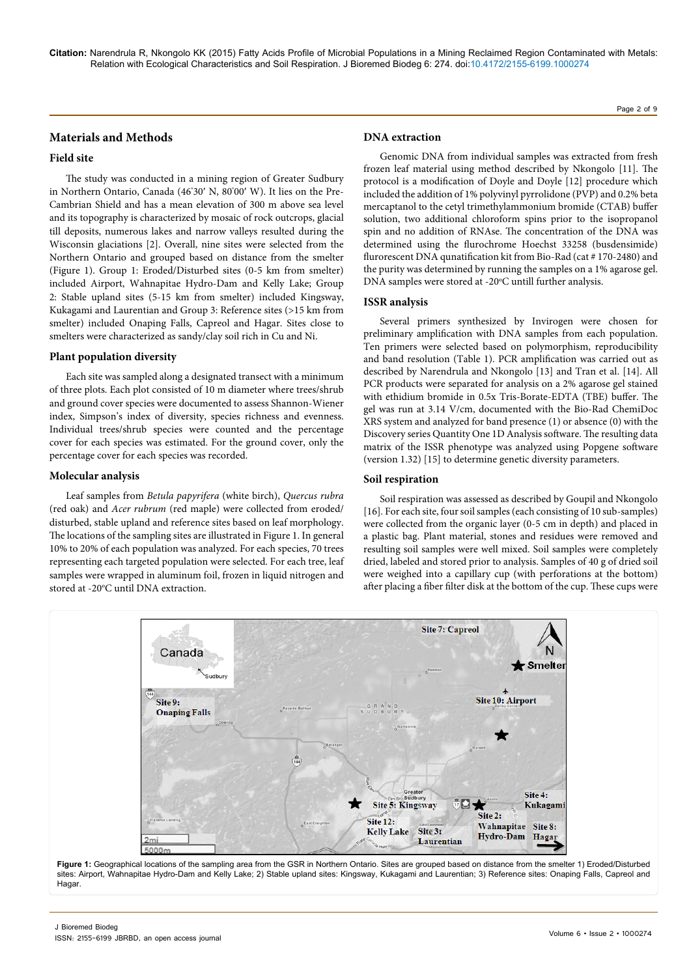# **Materials and Methods**

# **Field site**

The study was conducted in a mining region of Greater Sudbury in Northern Ontario, Canada (46° 30′ N, 80° 00′ W). It lies on the Pre-Cambrian Shield and has a mean elevation of 300 m above sea level and its topography is characterized by mosaic of rock outcrops, glacial till deposits, numerous lakes and narrow valleys resulted during the Wisconsin glaciations [2]. Overall, nine sites were selected from the Northern Ontario and grouped based on distance from the smelter (Figure 1). Group 1: Eroded/Disturbed sites (0-5 km from smelter) included Airport, Wahnapitae Hydro-Dam and Kelly Lake; Group 2: Stable upland sites (5-15 km from smelter) included Kingsway, Kukagami and Laurentian and Group 3: Reference sites (>15 km from smelter) included Onaping Falls, Capreol and Hagar. Sites close to smelters were characterized as sandy/clay soil rich in Cu and Ni.

#### **Plant population diversity**

Each site was sampled along a designated transect with a minimum of three plots. Each plot consisted of 10 m diameter where trees/shrub and ground cover species were documented to assess Shannon-Wiener index, Simpson's index of diversity, species richness and evenness. Individual trees/shrub species were counted and the percentage cover for each species was estimated. For the ground cover, only the percentage cover for each species was recorded.

## **Molecular analysis**

Leaf samples from *Betula papyrifera* (white birch), *Quercus rubra*  (red oak) and *Acer rubrum* (red maple) were collected from eroded/ disturbed, stable upland and reference sites based on leaf morphology. The locations of the sampling sites are illustrated in Figure 1. In general 10% to 20% of each population was analyzed. For each species, 70 trees representing each targeted population were selected. For each tree, leaf samples were wrapped in aluminum foil, frozen in liquid nitrogen and stored at -20°C until DNA extraction.

#### **DNA extraction**

Genomic DNA from individual samples was extracted from fresh frozen leaf material using method described by Nkongolo [11]. The protocol is a modification of Doyle and Doyle [12] procedure which included the addition of 1% polyvinyl pyrrolidone (PVP) and 0.2% beta mercaptanol to the cetyl trimethylammonium bromide (CTAB) buffer solution, two additional chloroform spins prior to the isopropanol spin and no addition of RNAse. The concentration of the DNA was determined using the flurochrome Hoechst 33258 (busdensimide) flurorescent DNA qunatification kit from Bio-Rad (cat # 170-2480) and the purity was determined by running the samples on a 1% agarose gel. DNA samples were stored at -20°C untill further analysis.

## **ISSR analysis**

Several primers synthesized by Invirogen were chosen for preliminary amplification with DNA samples from each population. Ten primers were selected based on polymorphism, reproducibility and band resolution (Table 1). PCR amplification was carried out as described by Narendrula and Nkongolo [13] and Tran et al. [14]. All PCR products were separated for analysis on a 2% agarose gel stained with ethidium bromide in 0.5x Tris-Borate-EDTA (TBE) buffer. The gel was run at 3.14 V/cm, documented with the Bio-Rad ChemiDoc XRS system and analyzed for band presence (1) or absence (0) with the Discovery series Quantity One 1D Analysis software. The resulting data matrix of the ISSR phenotype was analyzed using Popgene software (version 1.32) [15] to determine genetic diversity parameters.

## **Soil respiration**

Soil respiration was assessed as described by Goupil and Nkongolo [16]*.* For each site, four soil samples (each consisting of 10 sub-samples) were collected from the organic layer (0-5 cm in depth) and placed in a plastic bag. Plant material, stones and residues were removed and resulting soil samples were well mixed. Soil samples were completely dried, labeled and stored prior to analysis. Samples of 40 g of dried soil were weighed into a capillary cup (with perforations at the bottom) after placing a fiber filter disk at the bottom of the cup. These cups were



Figure 1: Geographical locations of the sampling area from the GSR in Northern Ontario. Sites are grouped based on distance from the smelter 1) Eroded/Disturbed sites: Airport, Wahnapitae Hydro-Dam and Kelly Lake; 2) Stable upland sites: Kingsway, Kukagami and Laurentian; 3) Reference sites: Onaping Falls, Capreol and Hagar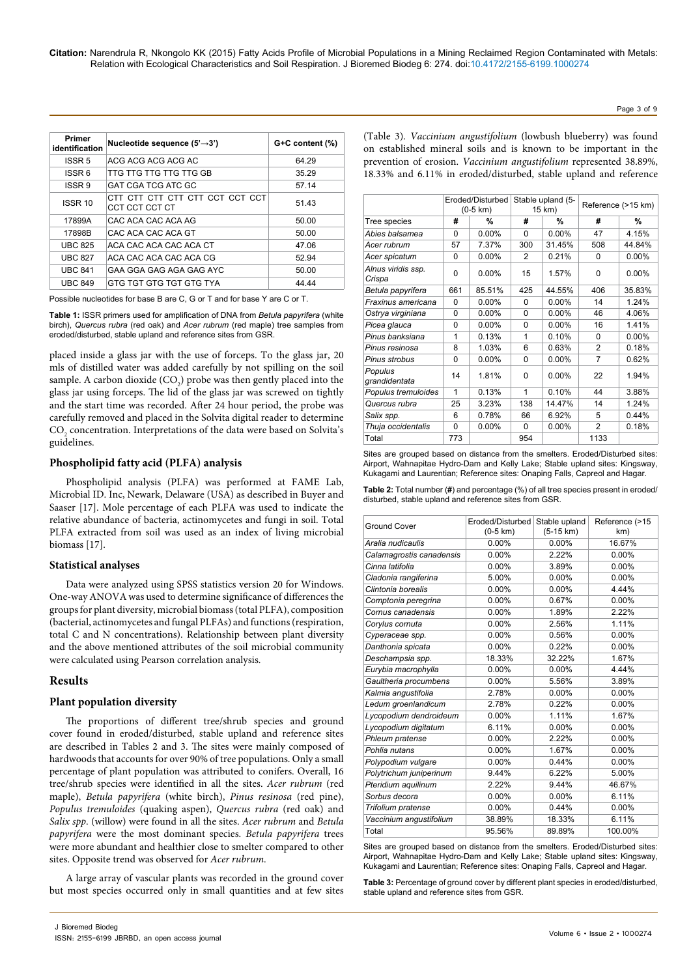| Primer<br>identification | Nucleotide sequence $(5' \rightarrow 3')$         | G+C content (%) |
|--------------------------|---------------------------------------------------|-----------------|
| <b>ISSR 5</b>            | ACG ACG ACG ACG AC                                | 64 29           |
| ISSR 6                   | TTG TTG TTG TTG TTG GB                            | 35.29           |
| ISSR 9                   | GAT CGA TCG ATC GC                                | 57.14           |
| ISSR 10                  | CTT CTT CTT CTT CTT CCT CCT CCT<br>CCT CCT CCT CT | 51.43           |
| 17899A                   | CAC ACA CAC ACA AG                                | 50.00           |
| 17898B                   | CAC ACA CAC ACA GT                                | 50.00           |
| <b>UBC 825</b>           | ACA CAC ACA CAC ACA CT                            | 47.06           |
| <b>UBC 827</b>           | ACA CAC ACA CAC ACA CG                            | 52.94           |
| <b>UBC 841</b>           | GAA GGA GAG AGA GAG AYC                           | 50.00           |
| <b>UBC 849</b>           | GTG TGT GTG TGT GTG TYA                           | 44.44           |

Possible nucleotides for base B are C, G or T and for base Y are C or T.

**Table 1:** ISSR primers used for amplification of DNA from *Betula papyrifera* (white birch), *Quercus rubra* (red oak) and *Acer rubrum* (red maple) tree samples from eroded/disturbed, stable upland and reference sites from GSR.

placed inside a glass jar with the use of forceps. To the glass jar, 20 mls of distilled water was added carefully by not spilling on the soil sample. A carbon dioxide  $({\rm CO}_2)$  probe was then gently placed into the glass jar using forceps. The lid of the glass jar was screwed on tightly and the start time was recorded. After 24 hour period, the probe was carefully removed and placed in the Solvita digital reader to determine  $\mathrm{CO}_2$  concentration. Interpretations of the data were based on Solvita's guidelines.

# **Phospholipid fatty acid (PLFA) analysis**

Phospholipid analysis (PLFA) was performed at FAME Lab, Microbial ID. Inc, Newark, Delaware (USA) as described in Buyer and Saaser [17]. Mole percentage of each PLFA was used to indicate the relative abundance of bacteria, actinomycetes and fungi in soil. Total PLFA extracted from soil was used as an index of living microbial biomass [17].

#### **Statistical analyses**

Data were analyzed using SPSS statistics version 20 for Windows. One-way ANOVA was used to determine significance of differences the groups for plant diversity, microbial biomass (total PLFA), composition (bacterial, actinomycetes and fungal PLFAs) and functions (respiration, total C and N concentrations). Relationship between plant diversity and the above mentioned attributes of the soil microbial community were calculated using Pearson correlation analysis.

#### **Results**

#### **Plant population diversity**

The proportions of different tree/shrub species and ground cover found in eroded/disturbed, stable upland and reference sites are described in Tables 2 and 3. The sites were mainly composed of hardwoods that accounts for over 90% of tree populations. Only a small percentage of plant population was attributed to conifers. Overall, 16 tree/shrub species were identified in all the sites. *Acer rubrum* (red maple), *Betula papyrifera* (white birch), *Pinus resinosa* (red pine), *Populus tremuloides* (quaking aspen), *Quercus rubra* (red oak) and *Salix spp*. (willow) were found in all the sites. *Acer rubrum* and *Betula papyrifera* were the most dominant species. *Betula papyrifera* trees were more abundant and healthier close to smelter compared to other sites. Opposite trend was observed for *Acer rubrum*.

A large array of vascular plants was recorded in the ground cover but most species occurred only in small quantities and at few sites (Table 3). *Vaccinium angustifolium* (lowbush blueberry) was found on established mineral soils and is known to be important in the prevention of erosion. *Vaccinium angustifolium* represented 38.89%, 18.33% and 6.11% in eroded/disturbed, stable upland and reference

|                              | Eroded/Disturbed<br>$(0-5 km)$ |          |          | Stable upland (5-<br>15 km) | Reference (>15 km) |          |
|------------------------------|--------------------------------|----------|----------|-----------------------------|--------------------|----------|
| Tree species                 | #                              | %        | #        | %                           | #                  | %        |
| Abies balsamea               | $\Omega$                       | 0.00%    | 0        | $0.00\%$                    | 47                 | 4.15%    |
| Acer rubrum                  | 57                             | 7.37%    | 300      | 31.45%                      | 508                | 44.84%   |
| Acer spicatum                | $\Omega$                       | $0.00\%$ | 2        | 0.21%                       | 0                  | $0.00\%$ |
| Alnus viridis ssp.<br>Crispa | $\Omega$                       | $0.00\%$ | 15       | 1.57%                       | 0                  | $0.00\%$ |
| Betula papyrifera            | 661                            | 85.51%   | 425      | 44.55%                      | 406                | 35.83%   |
| Fraxinus americana           | 0                              | $0.00\%$ | 0        | 0.00%                       | 14                 | 1.24%    |
| Ostrya virginiana            | 0                              | $0.00\%$ | 0        | $0.00\%$                    | 46                 | 4.06%    |
| Picea glauca                 | 0                              | $0.00\%$ | 0        | $0.00\%$                    | 16                 | 1.41%    |
| Pinus banksiana              | 1                              | 0.13%    | 1        | 0.10%                       | 0                  | $0.00\%$ |
| Pinus resinosa               | 8                              | 1.03%    | 6        | 0.63%                       | 2                  | 0.18%    |
| Pinus strobus                | 0                              | 0.00%    | 0        | 0.00%                       | 7                  | 0.62%    |
| Populus<br>grandidentata     | 14                             | 1.81%    | 0        | 0.00%                       | 22                 | 1.94%    |
| Populus tremuloides          | 1                              | 0.13%    | 1        | 0.10%                       | 44                 | 3.88%    |
| Quercus rubra                | 25                             | 3.23%    | 138      | 14.47%                      | 14                 | 1.24%    |
| Salix spp.                   | 6                              | 0.78%    | 66       | 6.92%                       | 5                  | 0.44%    |
| Thuja occidentalis           | 0                              | 0.00%    | $\Omega$ | $0.00\%$                    | $\overline{2}$     | 0.18%    |
| Total                        | 773                            |          | 954      |                             | 1133               |          |

Sites are grouped based on distance from the smelters. Eroded/Disturbed sites: Airport, Wahnapitae Hydro-Dam and Kelly Lake; Stable upland sites: Kingsway, Kukagami and Laurentian; Reference sites: Onaping Falls, Capreol and Hagar.

**Table 2:** Total number (**#**) and percentage (%) of all tree species present in eroded/ disturbed, stable upland and reference sites from GSR.

| <b>Ground Cover</b>      | Eroded/Disturbed<br>$(0-5 km)$ | Stable upland<br>$(5-15 km)$ | Reference (>15<br>km) |
|--------------------------|--------------------------------|------------------------------|-----------------------|
| Aralia nudicaulis        | $0.00\%$                       | 0.00%                        | 16.67%                |
| Calamagrostis canadensis | $0.00\%$                       | 2.22%                        | 0.00%                 |
| Cinna latifolia          | $0.00\%$                       | 3.89%                        | 0.00%                 |
| Cladonia rangiferina     | 5.00%                          | $0.00\%$                     | $0.00\%$              |
| Clintonia borealis       | $0.00\%$                       | 0.00%                        | 4.44%                 |
| Comptonia peregrina      | $0.00\%$                       | 0.67%                        | 0.00%                 |
| Cornus canadensis        | 0.00%                          | 1.89%                        | 2.22%                 |
| Corylus cornuta          | 0.00%                          | 2.56%                        | 1.11%                 |
| Cyperaceae spp.          | 0.00%                          | 0.56%                        | 0.00%                 |
| Danthonia spicata        | 0.00%                          | 0.22%                        | 0.00%                 |
| Deschampsia spp.         | 18.33%                         | 32.22%                       | 1.67%                 |
| Eurybia macrophylla      | 0.00%                          | 0.00%                        | 4.44%                 |
| Gaultheria procumbens    | 0.00%                          | 5.56%                        | 3.89%                 |
| Kalmia angustifolia      | 2.78%                          | 0.00%                        | 0.00%                 |
| Ledum groenlandicum      | 2.78%                          | 0.22%                        | 0.00%                 |
| Lycopodium dendroideum   | 0.00%                          | 1.11%                        | 1.67%                 |
| Lycopodium digitatum     | 6.11%                          | 0.00%                        | 0.00%                 |
| Phleum pratense          | $0.00\%$                       | 2.22%                        | 0.00%                 |
| Pohlia nutans            | 0.00%                          | 1.67%                        | 0.00%                 |
| Polypodium vulgare       | 0.00%                          | 0.44%                        | 0.00%                 |
| Polytrichum juniperinum  | 9.44%                          | 6.22%                        | 5.00%                 |
| Pteridium aquilinum      | 2.22%                          | 9.44%                        | 46.67%                |
| Sorbus decora            | 0.00%                          | 0.00%                        | 6.11%                 |
| Trifolium pratense       | 0.00%                          | 0.44%                        | 0.00%                 |
| Vaccinium angustifolium  | 38.89%                         | 18.33%                       | 6.11%                 |
| Total                    | 95.56%                         | 89.89%                       | 100.00%               |

Sites are grouped based on distance from the smelters. Eroded/Disturbed sites: Airport, Wahnapitae Hydro-Dam and Kelly Lake; Stable upland sites: Kingsway, Kukagami and Laurentian; Reference sites: Onaping Falls, Capreol and Hagar.

**Table 3:** Percentage of ground cover by different plant species in eroded/disturbed, stable upland and reference sites from GSR.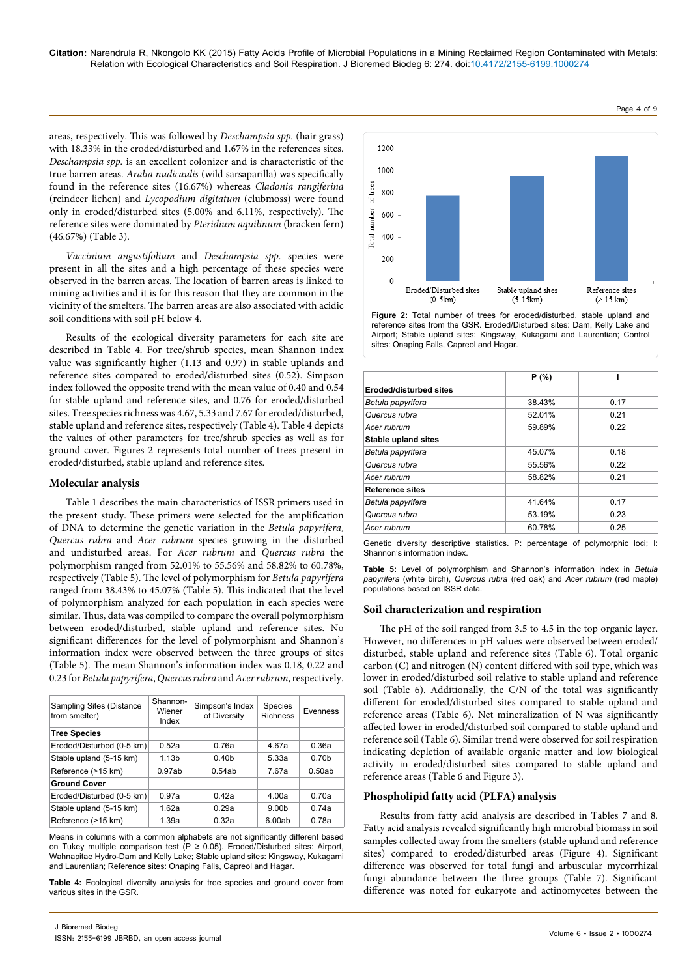areas, respectively. This was followed by *Deschampsia spp.* (hair grass) with 18.33% in the eroded/disturbed and 1.67% in the references sites. *Deschampsia spp.* is an excellent colonizer and is characteristic of the true barren areas. *Aralia nudicaulis* (wild sarsaparilla) was specifically found in the reference sites (16.67%) whereas *Cladonia rangiferina* (reindeer lichen) and *Lycopodium digitatum* (clubmoss) were found only in eroded/disturbed sites (5.00% and 6.11%, respectively). The reference sites were dominated by *Pteridium aquilinum* (bracken fern) (46.67%) (Table 3).

*Vaccinium angustifolium* and *Deschampsia spp.* species were present in all the sites and a high percentage of these species were observed in the barren areas. The location of barren areas is linked to mining activities and it is for this reason that they are common in the vicinity of the smelters. The barren areas are also associated with acidic soil conditions with soil pH below 4.

Results of the ecological diversity parameters for each site are described in Table 4. For tree/shrub species, mean Shannon index value was significantly higher (1.13 and 0.97) in stable uplands and reference sites compared to eroded/disturbed sites (0.52). Simpson index followed the opposite trend with the mean value of 0.40 and 0.54 for stable upland and reference sites, and 0.76 for eroded/disturbed sites. Tree species richness was 4.67, 5.33 and 7.67 for eroded/disturbed, stable upland and reference sites, respectively (Table 4). Table 4 depicts the values of other parameters for tree/shrub species as well as for ground cover. Figures 2 represents total number of trees present in eroded/disturbed, stable upland and reference sites.

#### **Molecular analysis**

Table 1 describes the main characteristics of ISSR primers used in the present study. These primers were selected for the amplification of DNA to determine the genetic variation in the *Betula papyrifera*, *Quercus rubra* and *Acer rubrum* species growing in the disturbed and undisturbed areas. For *Acer rubrum* and *Quercus rubra* the polymorphism ranged from 52.01% to 55.56% and 58.82% to 60.78%, respectively (Table 5). The level of polymorphism for *Betula papyrifera* ranged from 38.43% to 45.07% (Table 5). This indicated that the level of polymorphism analyzed for each population in each species were similar. Thus, data was compiled to compare the overall polymorphism between eroded/disturbed, stable upland and reference sites. No significant differences for the level of polymorphism and Shannon's information index were observed between the three groups of sites (Table 5). The mean Shannon's information index was 0.18, 0.22 and 0.23 for *Betula papyrifera*, *Quercus rubra* and *Acer rubrum*, respectively.

| Sampling Sites (Distance<br>from smelter) | Shannon-<br>Wiener<br>Index | Simpson's Index<br>of Diversity | Species<br><b>Richness</b> | Evenness          |
|-------------------------------------------|-----------------------------|---------------------------------|----------------------------|-------------------|
| <b>Tree Species</b>                       |                             |                                 |                            |                   |
| Eroded/Disturbed (0-5 km)                 | 0.52a                       | 0.76a                           | 4.67a                      | 0.36a             |
| Stable upland (5-15 km)                   | 1.13 <sub>b</sub>           | 0.40 <sub>b</sub>               | 5.33a                      | 0.70 <sub>b</sub> |
| Reference (>15 km)                        | 0.97ab                      | 0.54ab                          | 7.67a                      | 0.50ab            |
| <b>Ground Cover</b>                       |                             |                                 |                            |                   |
| Eroded/Disturbed (0-5 km)                 | 0.97a                       | 0.42a                           | 4.00a                      | 0.70a             |
| Stable upland (5-15 km)                   | 1.62a                       | 0.29a                           | 9.00 <sub>b</sub>          | 0.74a             |
| Reference (>15 km)                        | 1.39a                       | 0.32a                           | 6.00ab                     | 0.78a             |

Means in columns with a common alphabets are not significantly different based on Tukey multiple comparison test  $(P \ge 0.05)$ . Eroded/Disturbed sites: Airport, Wahnapitae Hydro-Dam and Kelly Lake; Stable upland sites: Kingsway, Kukagami and Laurentian; Reference sites: Onaping Falls, Capreol and Hagar.

**Table 4:** Ecological diversity analysis for tree species and ground cover from various sites in the GSR.





|                            | P(% )  |      |
|----------------------------|--------|------|
| Eroded/disturbed sites     |        |      |
| Betula papyrifera          | 38.43% | 0.17 |
| Quercus rubra              | 52.01% | 0.21 |
| Acer rubrum                | 59.89% | 0.22 |
| <b>Stable upland sites</b> |        |      |
| Betula papyrifera          | 45.07% | 0.18 |
| Quercus rubra              | 55.56% | 0.22 |
| Acer rubrum                | 58.82% | 0.21 |
| <b>Reference sites</b>     |        |      |
| Betula papyrifera          | 41.64% | 0.17 |
| Quercus rubra              | 53.19% | 0.23 |
| Acer rubrum                | 60.78% | 0.25 |

Genetic diversity descriptive statistics. P: percentage of polymorphic loci; I: Shannon's information index.

**Table 5:** Level of polymorphism and Shannon's information index in *Betula papyrifera* (white birch), *Quercus rubra* (red oak) and *Acer rubrum* (red maple) populations based on ISSR data.

#### **Soil characterization and respiration**

The pH of the soil ranged from 3.5 to 4.5 in the top organic layer. However, no differences in pH values were observed between eroded/ disturbed, stable upland and reference sites (Table 6). Total organic carbon (C) and nitrogen (N) content differed with soil type, which was lower in eroded/disturbed soil relative to stable upland and reference soil (Table 6). Additionally, the C/N of the total was significantly different for eroded/disturbed sites compared to stable upland and reference areas (Table 6). Net mineralization of N was significantly affected lower in eroded/disturbed soil compared to stable upland and reference soil (Table 6). Similar trend were observed for soil respiration indicating depletion of available organic matter and low biological activity in eroded/disturbed sites compared to stable upland and reference areas (Table 6 and Figure 3).

#### **Phospholipid fatty acid (PLFA) analysis**

Results from fatty acid analysis are described in Tables 7 and 8. Fatty acid analysis revealed significantly high microbial biomass in soil samples collected away from the smelters (stable upland and reference sites) compared to eroded/disturbed areas (Figure 4). Significant difference was observed for total fungi and arbuscular mycorrhizal fungi abundance between the three groups (Table 7). Significant difference was noted for eukaryote and actinomycetes between the

#### Page 4 of 9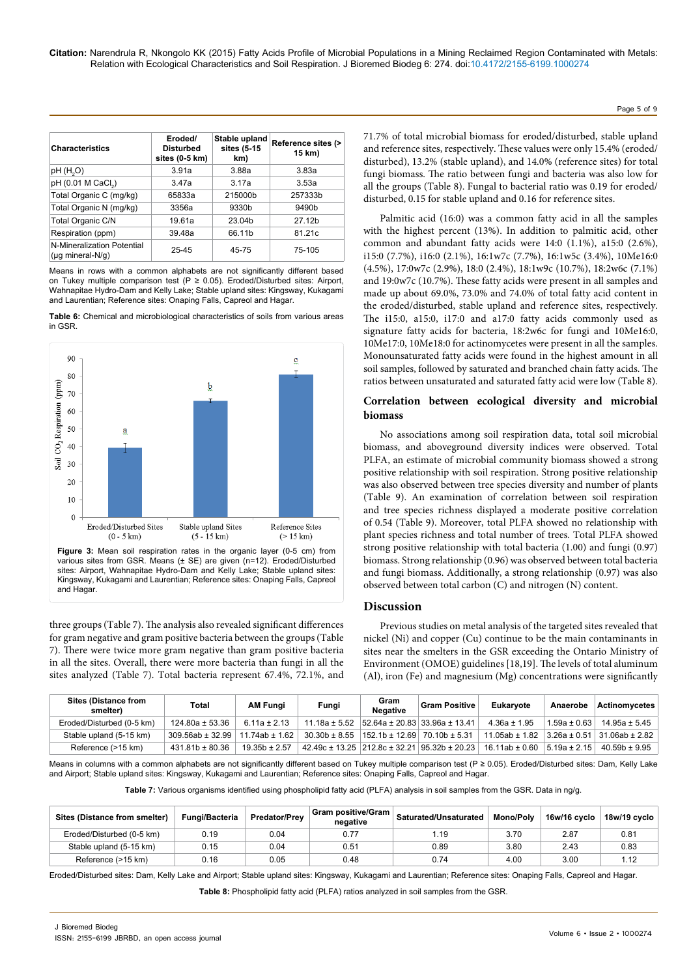| <b>Characteristics</b>                                      | Eroded/<br><b>Disturbed</b><br>sites (0-5 km) | Stable upland<br>sites (5-15<br>km) | Reference sites (><br>15 km) |
|-------------------------------------------------------------|-----------------------------------------------|-------------------------------------|------------------------------|
| pH (H <sub>2</sub> O)                                       | 3.91a                                         | 3.88a                               | 3.83a                        |
| pH (0.01 M CaCl <sub>2</sub> )                              | 3.47a                                         | 3.17a                               | 3.53a                        |
| Total Organic C (mg/kg)                                     | 65833a                                        | 215000b                             | 257333b                      |
| Total Organic N (mg/kg)                                     | 3356a                                         | 9330b                               | 9490b                        |
| <b>Total Organic C/N</b>                                    | 19.61a                                        | 23.04b                              | 27.12b                       |
| Respiration (ppm)                                           | 39.48a                                        | 66.11b                              | 81.21c                       |
| N-Mineralization Potential<br>$(\mu q \text{ mineral-N/q})$ | $25 - 45$                                     | 45-75                               | 75-105                       |

Means in rows with a common alphabets are not significantly different based on Tukey multiple comparison test (P  $\geq$  0.05). Eroded/Disturbed sites: Airport, Wahnapitae Hydro-Dam and Kelly Lake; Stable upland sites: Kingsway, Kukagami and Laurentian; Reference sites: Onaping Falls, Capreol and Hagar.

**Table 6:** Chemical and microbiological characteristics of soils from various areas in GSR.



three groups (Table 7). The analysis also revealed significant differences for gram negative and gram positive bacteria between the groups (Table 7). There were twice more gram negative than gram positive bacteria in all the sites. Overall, there were more bacteria than fungi in all the sites analyzed (Table 7). Total bacteria represent 67.4%, 72.1%, and

71.7% of total microbial biomass for eroded/disturbed, stable upland and reference sites, respectively. These values were only 15.4% (eroded/ disturbed), 13.2% (stable upland), and 14.0% (reference sites) for total fungi biomass. The ratio between fungi and bacteria was also low for all the groups (Table 8). Fungal to bacterial ratio was 0.19 for eroded/ disturbed, 0.15 for stable upland and 0.16 for reference sites.

Palmitic acid (16:0) was a common fatty acid in all the samples with the highest percent (13%). In addition to palmitic acid, other common and abundant fatty acids were 14:0 (1.1%), a15:0 (2.6%), i15:0 (7.7%), i16:0 (2.1%), 16:1w7c (7.7%), 16:1w5c (3.4%), 10Me16:0 (4.5%), 17:0w7c (2.9%), 18:0 (2.4%), 18:1w9c (10.7%), 18:2w6c (7.1%) and 19:0w7c (10.7%). These fatty acids were present in all samples and made up about 69.0%, 73.0% and 74.0% of total fatty acid content in the eroded/disturbed, stable upland and reference sites, respectively. The i15:0, a15:0, i17:0 and a17:0 fatty acids commonly used as signature fatty acids for bacteria, 18:2w6c for fungi and 10Me16:0, 10Me17:0, 10Me18:0 for actinomycetes were present in all the samples. Monounsaturated fatty acids were found in the highest amount in all soil samples, followed by saturated and branched chain fatty acids. The ratios between unsaturated and saturated fatty acid were low (Table 8).

# **Correlation between ecological diversity and microbial biomass**

No associations among soil respiration data, total soil microbial biomass, and aboveground diversity indices were observed. Total PLFA, an estimate of microbial community biomass showed a strong positive relationship with soil respiration. Strong positive relationship was also observed between tree species diversity and number of plants (Table 9). An examination of correlation between soil respiration and tree species richness displayed a moderate positive correlation of 0.54 (Table 9). Moreover, total PLFA showed no relationship with plant species richness and total number of trees. Total PLFA showed strong positive relationship with total bacteria (1.00) and fungi (0.97) biomass. Strong relationship (0.96) was observed between total bacteria and fungi biomass. Additionally, a strong relationship (0.97) was also observed between total carbon (C) and nitrogen (N) content.

# **Discussion**

Previous studies on metal analysis of the targeted sites revealed that nickel (Ni) and copper (Cu) continue to be the main contaminants in sites near the smelters in the GSR exceeding the Ontario Ministry of Environment (OMOE) guidelines [18,19]. The levels of total aluminum (Al), iron (Fe) and magnesium (Mg) concentrations were significantly

| <b>Sites (Distance from</b><br>smelter) | Total              | <b>AM Fungi</b>    | Fungi             | Gram<br><b>Negative</b>                         | <b>Gram Positive</b>                                         | <b>Eukarvote</b>   | Anaerobe           | Actinomycetes                       |
|-----------------------------------------|--------------------|--------------------|-------------------|-------------------------------------------------|--------------------------------------------------------------|--------------------|--------------------|-------------------------------------|
| Eroded/Disturbed (0-5 km)               | 124.80a ± 53.36    | $6.11a \pm 2.13$   |                   | $11.18a \pm 5.52$ 52.64a ± 20.83 33.96a ± 13.41 |                                                              | $4.36a \pm 1.95$   | $1.59a \pm 0.63$   | $14.95a \pm 5.45$                   |
| Stable upland (5-15 km)                 | $309.56ab + 32.99$ | $11.74ab \pm 1.62$ | $30.30b \pm 8.55$ | $152.1b \pm 12.69$ 70.10b $\pm$ 5.31            |                                                              | $11.05ab \pm 1.82$ |                    | $ 3.26a \pm 0.51 31.06ab \pm 2.82 $ |
| Reference (>15 km)                      | $431.81b + 80.36$  | $19.35b \pm 2.57$  |                   |                                                 | $42.49c \pm 13.25$   212.8c $\pm$ 32.21   95.32b $\pm$ 20.23 | 16.11ab $\pm$ 0.60 | $ 5.19a \pm 2.15 $ | $40.59b \pm 9.95$                   |

Means in columns with a common alphabets are not significantly different based on Tukey multiple comparison test (P ≥ 0.05). Eroded/Disturbed sites: Dam, Kelly Lake and Airport; Stable upland sites: Kingsway, Kukagami and Laurentian; Reference sites: Onaping Falls, Capreol and Hagar.

**Table 7:** Various organisms identified using phospholipid fatty acid (PLFA) analysis in soil samples from the GSR. Data in ng/g.

| Sites (Distance from smelter) | Fungi/Bacteria | <b>Predator/Prev</b> | <b>Gram positive/Gram</b><br>negative | Saturated/Unsaturated | <b>Mono/Poly</b> | 16w/16 cvclo | 18w/19 cvclo |
|-------------------------------|----------------|----------------------|---------------------------------------|-----------------------|------------------|--------------|--------------|
| Eroded/Disturbed (0-5 km)     | 0.19           | 0.04                 | 0.77                                  | 1.19                  | 3.70             | 2.87         | 0.81         |
| Stable upland (5-15 km)       | 0.15           | 0.04                 | 0.51                                  | 0.89                  | 3.80             | 2.43         | 0.83         |
| Reference (>15 km)            | 0.16           | 0.05                 | 0.48                                  | 0.74                  | 4.00             | 3.00         | 1.12         |

Eroded/Disturbed sites: Dam, Kelly Lake and Airport; Stable upland sites: Kingsway, Kukagami and Laurentian; Reference sites: Onaping Falls, Capreol and Hagar.

**Table 8:** Phospholipid fatty acid (PLFA) ratios analyzed in soil samples from the GSR.

Page 5 of 9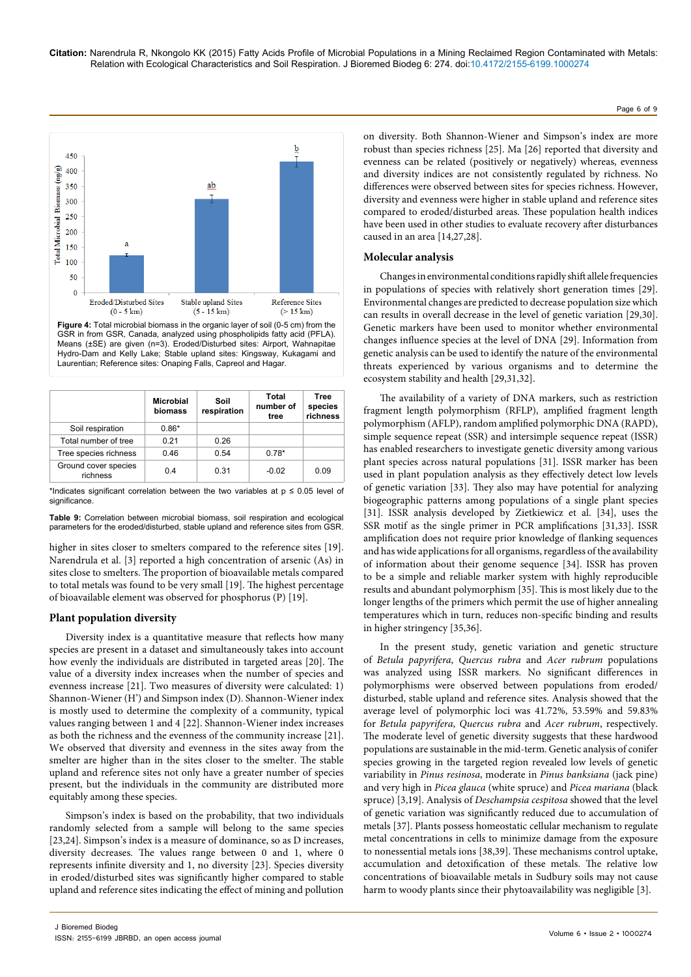

**Figure 4:** Total microbial biomass in the organic layer of soil (0-5 cm) from the GSR in from GSR, Canada, analyzed using phospholipids fatty acid (PFLA). Means (±SE) are given (n=3). Eroded/Disturbed sites: Airport, Wahnapitae Hydro-Dam and Kelly Lake; Stable upland sites: Kingsway, Kukagami and Laurentian; Reference sites: Onaping Falls, Capreol and Hagar.

|                                  | Microbial<br>biomass | Soil<br>respiration | Total<br>number of<br>tree | Tree<br>species<br>richness |
|----------------------------------|----------------------|---------------------|----------------------------|-----------------------------|
| Soil respiration                 | $0.86*$              |                     |                            |                             |
| Total number of tree             | 0.21                 | 0.26                |                            |                             |
| Tree species richness            | 0.46                 | 0.54                | $0.78*$                    |                             |
| Ground cover species<br>richness | 04                   | 0.31                | $-0.02$                    | 0.09                        |

\*Indicates significant correlation between the two variables at p ≤ 0.05 level of significance

**Table 9:** Correlation between microbial biomass, soil respiration and ecological parameters for the eroded/disturbed, stable upland and reference sites from GSR.

higher in sites closer to smelters compared to the reference sites [19]. Narendrula et al. [3] reported a high concentration of arsenic (As) in sites close to smelters. The proportion of bioavailable metals compared to total metals was found to be very small [19]. The highest percentage of bioavailable element was observed for phosphorus (P) [19].

# **Plant population diversity**

Diversity index is a quantitative measure that reflects how many species are present in a dataset and simultaneously takes into account how evenly the individuals are distributed in targeted areas [20]. The value of a diversity index increases when the number of species and evenness increase [21]. Two measures of diversity were calculated: 1) Shannon-Wiener (H') and Simpson index (D). Shannon-Wiener index is mostly used to determine the complexity of a community, typical values ranging between 1 and 4 [22]. Shannon-Wiener index increases as both the richness and the evenness of the community increase [21]. We observed that diversity and evenness in the sites away from the smelter are higher than in the sites closer to the smelter. The stable upland and reference sites not only have a greater number of species present, but the individuals in the community are distributed more equitably among these species.

Simpson's index is based on the probability, that two individuals randomly selected from a sample will belong to the same species [23,24]. Simpson's index is a measure of dominance, so as D increases, diversity decreases. The values range between 0 and 1, where 0 represents infinite diversity and 1, no diversity [23]. Species diversity in eroded/disturbed sites was significantly higher compared to stable upland and reference sites indicating the effect of mining and pollution

on diversity. Both Shannon-Wiener and Simpson's index are more robust than species richness [25]. Ma [26] reported that diversity and evenness can be related (positively or negatively) whereas, evenness and diversity indices are not consistently regulated by richness. No differences were observed between sites for species richness. However, diversity and evenness were higher in stable upland and reference sites compared to eroded/disturbed areas. These population health indices have been used in other studies to evaluate recovery after disturbances caused in an area [14,27,28].

# **Molecular analysis**

Changes in environmental conditions rapidly shift allele frequencies in populations of species with relatively short generation times [29]. Environmental changes are predicted to decrease population size which can results in overall decrease in the level of genetic variation [29,30]. Genetic markers have been used to monitor whether environmental changes influence species at the level of DNA [29]. Information from genetic analysis can be used to identify the nature of the environmental threats experienced by various organisms and to determine the ecosystem stability and health [29,31,32].

The availability of a variety of DNA markers, such as restriction fragment length polymorphism (RFLP), amplified fragment length polymorphism (AFLP), random amplified polymorphic DNA (RAPD), simple sequence repeat (SSR) and intersimple sequence repeat (ISSR) has enabled researchers to investigate genetic diversity among various plant species across natural populations [31]. ISSR marker has been used in plant population analysis as they effectively detect low levels of genetic variation [33]. They also may have potential for analyzing biogeographic patterns among populations of a single plant species [31]. ISSR analysis developed by Zietkiewicz et al. [34], uses the SSR motif as the single primer in PCR amplifications [31,33]. ISSR amplification does not require prior knowledge of flanking sequences and has wide applications for all organisms, regardless of the availability of information about their genome sequence [34]. ISSR has proven to be a simple and reliable marker system with highly reproducible results and abundant polymorphism [35]. This is most likely due to the longer lengths of the primers which permit the use of higher annealing temperatures which in turn, reduces non-specific binding and results in higher stringency [35,36].

In the present study, genetic variation and genetic structure of *Betula papyrifera*, *Quercus rubra* and *Acer rubrum* populations was analyzed using ISSR markers. No significant differences in polymorphisms were observed between populations from eroded/ disturbed, stable upland and reference sites. Analysis showed that the average level of polymorphic loci was 41.72%, 53.59% and 59.83% for *Betula papyrifera*, *Quercus rubra* and *Acer rubrum*, respectively. The moderate level of genetic diversity suggests that these hardwood populations are sustainable in the mid-term. Genetic analysis of conifer species growing in the targeted region revealed low levels of genetic variability in *Pinus resinosa*, moderate in *Pinus banksiana* (jack pine) and very high in *Picea glauca* (white spruce) and *Picea mariana* (black spruce) [3,19]. Analysis of *Deschampsia cespitosa* showed that the level of genetic variation was significantly reduced due to accumulation of metals [37]. Plants possess homeostatic cellular mechanism to regulate metal concentrations in cells to minimize damage from the exposure to nonessential metals ions [38,39]. These mechanisms control uptake, accumulation and detoxification of these metals. The relative low concentrations of bioavailable metals in Sudbury soils may not cause harm to woody plants since their phytoavailability was negligible [3].

Page 6 of 9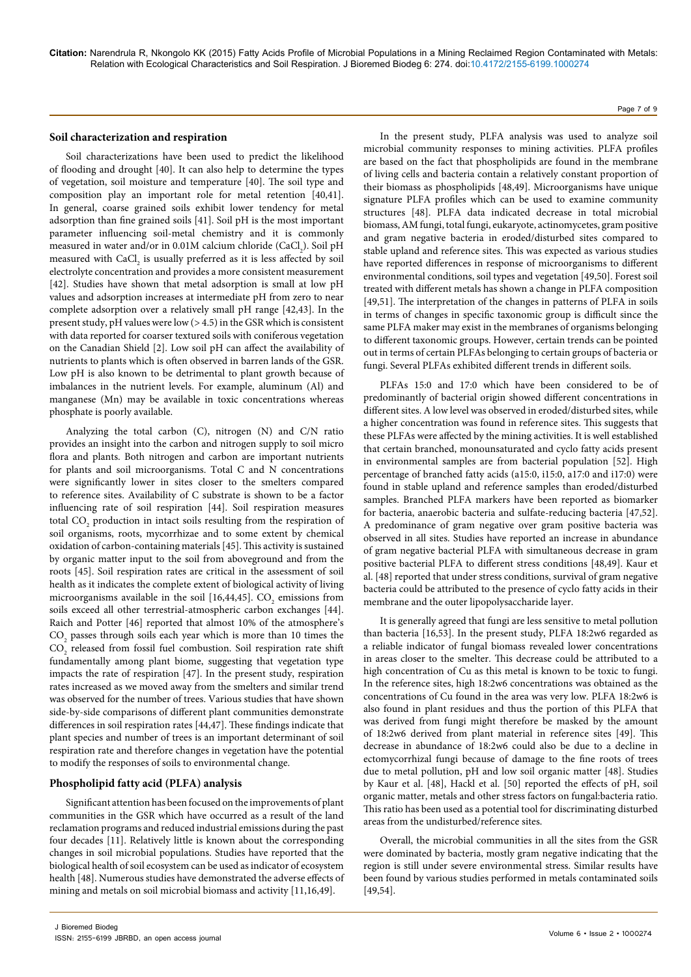## **Soil characterization and respiration**

Soil characterizations have been used to predict the likelihood of flooding and drought [40]. It can also help to determine the types of vegetation, soil moisture and temperature [40]. The soil type and composition play an important role for metal retention [40,41]. In general, coarse grained soils exhibit lower tendency for metal adsorption than fine grained soils [41]. Soil pH is the most important parameter influencing soil-metal chemistry and it is commonly measured in water and/or in 0.01M calcium chloride (CaCl<sub>2</sub>). Soil pH measured with CaCl $_2$  is usually preferred as it is less affected by soil electrolyte concentration and provides a more consistent measurement [42]. Studies have shown that metal adsorption is small at low pH values and adsorption increases at intermediate pH from zero to near complete adsorption over a relatively small pH range [42,43]. In the present study, pH values were low (> 4.5) in the GSR which is consistent with data reported for coarser textured soils with coniferous vegetation on the Canadian Shield [2]. Low soil pH can affect the availability of nutrients to plants which is often observed in barren lands of the GSR. Low pH is also known to be detrimental to plant growth because of imbalances in the nutrient levels. For example, aluminum (Al) and manganese (Mn) may be available in toxic concentrations whereas phosphate is poorly available.

Analyzing the total carbon (C), nitrogen (N) and C/N ratio provides an insight into the carbon and nitrogen supply to soil micro flora and plants. Both nitrogen and carbon are important nutrients for plants and soil microorganisms. Total C and N concentrations were significantly lower in sites closer to the smelters compared to reference sites. Availability of C substrate is shown to be a factor influencing rate of soil respiration [44]. Soil respiration measures total  $\mathrm{CO}_2$  production in intact soils resulting from the respiration of soil organisms, roots, mycorrhizae and to some extent by chemical oxidation of carbon-containing materials [45]. This activity is sustained by organic matter input to the soil from aboveground and from the roots [45]. Soil respiration rates are critical in the assessment of soil health as it indicates the complete extent of biological activity of living microorganisms available in the soil [16,44,45].  $\text{CO}_2$  emissions from soils exceed all other terrestrial-atmospheric carbon exchanges [44]. Raich and Potter [46] reported that almost 10% of the atmosphere's  $\text{CO}_2$  passes through soils each year which is more than 10 times the  $\mathrm{CO}_2$  released from fossil fuel combustion. Soil respiration rate shift fundamentally among plant biome, suggesting that vegetation type impacts the rate of respiration [47]. In the present study, respiration rates increased as we moved away from the smelters and similar trend was observed for the number of trees. Various studies that have shown side-by-side comparisons of different plant communities demonstrate differences in soil respiration rates [44,47]. These findings indicate that plant species and number of trees is an important determinant of soil respiration rate and therefore changes in vegetation have the potential to modify the responses of soils to environmental change.

## **Phospholipid fatty acid (PLFA) analysis**

Significant attention has been focused on the improvements of plant communities in the GSR which have occurred as a result of the land reclamation programs and reduced industrial emissions during the past four decades [11]. Relatively little is known about the corresponding changes in soil microbial populations. Studies have reported that the biological health of soil ecosystem can be used as indicator of ecosystem health [48]. Numerous studies have demonstrated the adverse effects of mining and metals on soil microbial biomass and activity [11,16,49].

In the present study, PLFA analysis was used to analyze soil microbial community responses to mining activities. PLFA profiles are based on the fact that phospholipids are found in the membrane of living cells and bacteria contain a relatively constant proportion of their biomass as phospholipids [48,49]. Microorganisms have unique signature PLFA profiles which can be used to examine community structures [48]. PLFA data indicated decrease in total microbial biomass, AM fungi, total fungi, eukaryote, actinomycetes, gram positive and gram negative bacteria in eroded/disturbed sites compared to stable upland and reference sites. This was expected as various studies have reported differences in response of microorganisms to different environmental conditions, soil types and vegetation [49,50]. Forest soil treated with different metals has shown a change in PLFA composition [49,51]. The interpretation of the changes in patterns of PLFA in soils in terms of changes in specific taxonomic group is difficult since the same PLFA maker may exist in the membranes of organisms belonging to different taxonomic groups. However, certain trends can be pointed out in terms of certain PLFAs belonging to certain groups of bacteria or fungi. Several PLFAs exhibited different trends in different soils.

PLFAs 15:0 and 17:0 which have been considered to be of predominantly of bacterial origin showed different concentrations in different sites. A low level was observed in eroded/disturbed sites, while a higher concentration was found in reference sites. This suggests that these PLFAs were affected by the mining activities. It is well established that certain branched, monounsaturated and cyclo fatty acids present in environmental samples are from bacterial population [52]. High percentage of branched fatty acids (a15:0, i15:0, a17:0 and i17:0) were found in stable upland and reference samples than eroded/disturbed samples. Branched PLFA markers have been reported as biomarker for bacteria, anaerobic bacteria and sulfate-reducing bacteria [47,52]. A predominance of gram negative over gram positive bacteria was observed in all sites. Studies have reported an increase in abundance of gram negative bacterial PLFA with simultaneous decrease in gram positive bacterial PLFA to different stress conditions [48,49]. Kaur et al. [48] reported that under stress conditions, survival of gram negative bacteria could be attributed to the presence of cyclo fatty acids in their membrane and the outer lipopolysaccharide layer.

It is generally agreed that fungi are less sensitive to metal pollution than bacteria [16,53]. In the present study, PLFA 18:2w6 regarded as a reliable indicator of fungal biomass revealed lower concentrations in areas closer to the smelter. This decrease could be attributed to a high concentration of Cu as this metal is known to be toxic to fungi. In the reference sites, high 18:2w6 concentrations was obtained as the concentrations of Cu found in the area was very low. PLFA 18:2w6 is also found in plant residues and thus the portion of this PLFA that was derived from fungi might therefore be masked by the amount of 18:2w6 derived from plant material in reference sites [49]. This decrease in abundance of 18:2w6 could also be due to a decline in ectomycorrhizal fungi because of damage to the fine roots of trees due to metal pollution, pH and low soil organic matter [48]. Studies by Kaur et al. [48], Hackl et al. [50] reported the effects of pH, soil organic matter, metals and other stress factors on fungal:bacteria ratio. This ratio has been used as a potential tool for discriminating disturbed areas from the undisturbed/reference sites.

Overall, the microbial communities in all the sites from the GSR were dominated by bacteria, mostly gram negative indicating that the region is still under severe environmental stress. Similar results have been found by various studies performed in metals contaminated soils [49,54].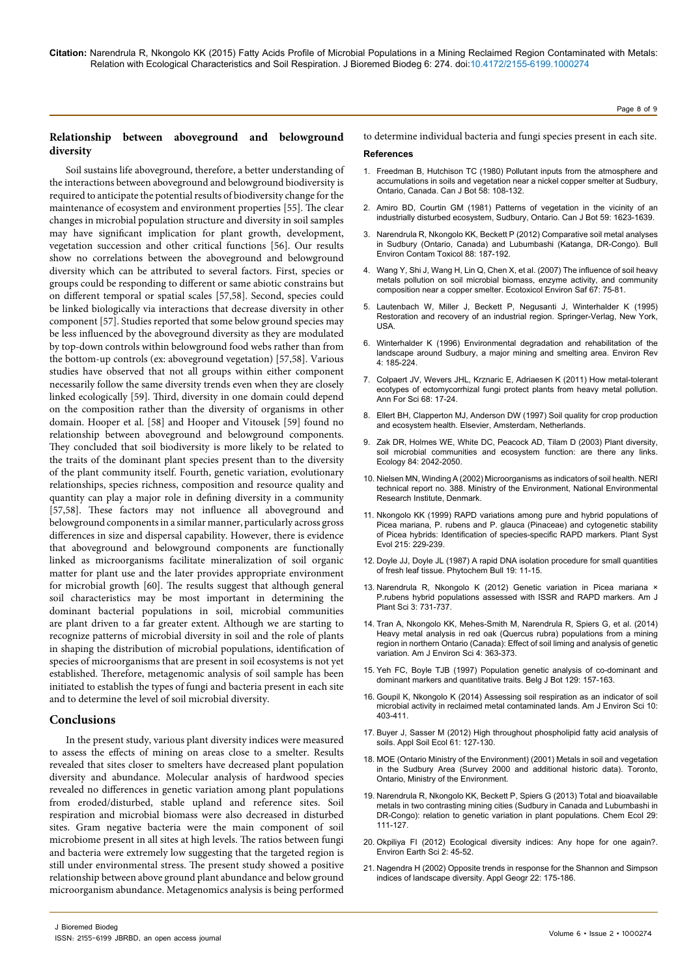# **Relationship between aboveground and belowground diversity**

Soil sustains life aboveground, therefore, a better understanding of the interactions between aboveground and belowground biodiversity is required to anticipate the potential results of biodiversity change for the maintenance of ecosystem and environment properties [55]. The clear changes in microbial population structure and diversity in soil samples may have significant implication for plant growth, development, vegetation succession and other critical functions [56]. Our results show no correlations between the aboveground and belowground diversity which can be attributed to several factors. First, species or groups could be responding to different or same abiotic constrains but on different temporal or spatial scales [57,58]. Second, species could be linked biologically via interactions that decrease diversity in other component [57]. Studies reported that some below ground species may be less influenced by the aboveground diversity as they are modulated by top-down controls within belowground food webs rather than from the bottom-up controls (ex: aboveground vegetation) [57,58]. Various studies have observed that not all groups within either component necessarily follow the same diversity trends even when they are closely linked ecologically [59]. Third, diversity in one domain could depend on the composition rather than the diversity of organisms in other domain. Hooper et al. [58] and Hooper and Vitousek [59] found no relationship between aboveground and belowground components. They concluded that soil biodiversity is more likely to be related to the traits of the dominant plant species present than to the diversity of the plant community itself. Fourth, genetic variation, evolutionary relationships, species richness, composition and resource quality and quantity can play a major role in defining diversity in a community [57,58]. These factors may not influence all aboveground and belowground components in a similar manner, particularly across gross differences in size and dispersal capability. However, there is evidence that aboveground and belowground components are functionally linked as microorganisms facilitate mineralization of soil organic matter for plant use and the later provides appropriate environment for microbial growth [60]. The results suggest that although general soil characteristics may be most important in determining the dominant bacterial populations in soil, microbial communities are plant driven to a far greater extent. Although we are starting to recognize patterns of microbial diversity in soil and the role of plants in shaping the distribution of microbial populations, identification of species of microorganisms that are present in soil ecosystems is not yet established. Therefore, metagenomic analysis of soil sample has been initiated to establish the types of fungi and bacteria present in each site and to determine the level of soil microbial diversity.

# **Conclusions**

In the present study, various plant diversity indices were measured to assess the effects of mining on areas close to a smelter. Results revealed that sites closer to smelters have decreased plant population diversity and abundance. Molecular analysis of hardwood species revealed no differences in genetic variation among plant populations from eroded/disturbed, stable upland and reference sites. Soil respiration and microbial biomass were also decreased in disturbed sites. Gram negative bacteria were the main component of soil microbiome present in all sites at high levels. The ratios between fungi and bacteria were extremely low suggesting that the targeted region is still under environmental stress. The present study showed a positive relationship between above ground plant abundance and below ground microorganism abundance. Metagenomics analysis is being performed

#### **References**

- 1. [Freedman B, Hutchison TC \(1980\) Pollutant inputs from the atmosphere and](http://www.nrcresearchpress.com/doi/abs/10.1139/b80-014?journalCode=cjb1#.VNMGe-GHj2c)  [accumulations in soils and vegetation near a nickel copper smelter at Sudbury,](http://www.nrcresearchpress.com/doi/abs/10.1139/b80-014?journalCode=cjb1#.VNMGe-GHj2c)  [Ontario, Canada. Can J Bot 58: 108-132.](http://www.nrcresearchpress.com/doi/abs/10.1139/b80-014?journalCode=cjb1#.VNMGe-GHj2c)
- 2. [Amiro BD, Courtin GM \(1981\) Patterns of vegetation in the vicinity of an](http://www.nrcresearchpress.com/doi/abs/10.1139/b81-221?journalCode=cjb1)  [industrially disturbed ecosystem, Sudbury, Ontario. Can J Bot 59: 1623-1639.](http://www.nrcresearchpress.com/doi/abs/10.1139/b81-221?journalCode=cjb1)
- 3. [Narendrula R, Nkongolo KK, Beckett P \(2012\) Comparative soil metal analyses](http://www.ncbi.nlm.nih.gov/pubmed/22139330)  [in Sudbury \(Ontario, Canada\) and Lubumbashi \(Katanga, DR-Congo\). Bull](http://www.ncbi.nlm.nih.gov/pubmed/22139330)  [Environ Contam Toxicol 88: 187-192.](http://www.ncbi.nlm.nih.gov/pubmed/22139330)
- 4. [Wang Y, Shi J, Wang H, Lin Q, Chen X, et al. \(2007\) The influence of soil heavy](http://www.ncbi.nlm.nih.gov/pubmed/16828162)  [metals pollution on soil microbial biomass, enzyme activity, and community](http://www.ncbi.nlm.nih.gov/pubmed/16828162)  [composition near a copper smelter. Ecotoxicol Environ Saf 67: 75-81.](http://www.ncbi.nlm.nih.gov/pubmed/16828162)
- 5. Lautenbach W, Miller J, Beckett P, Negusanti J, Winterhalder K (1995) Restoration and recovery of an industrial region. Springer-Verlag, New York, USA.
- 6. [Winterhalder K \(1996\) Environmental degradation and rehabilitation of the](https://books.google.co.in/books?id=Z9expF_q4ZAC&pg=PA309&lpg=PA309&dq=Environmental+degradation+and+rehabilitation+of+the+landscape+around+Sudbury,+a+major+mining+and+smelting+area.+Environ+Rev+4:+185-224&source=bl&ots=x6EwJIzhlL&sig=7WcKL7YtDNjQTvOpbQPNhnIokto&hl=en&sa=X&ei=AwfTVJGFBOHAmwXNj4KICw&ved=0CCEQ6AEwAQ#v=onepage&q=Environmental degradation and rehabilitation of the landscape around Sudbury%2C a major mining and smelting area. Environ Rev 4%3A 185-224&f=false)  [landscape around Sudbury, a major mining and smelting area. Environ Rev](https://books.google.co.in/books?id=Z9expF_q4ZAC&pg=PA309&lpg=PA309&dq=Environmental+degradation+and+rehabilitation+of+the+landscape+around+Sudbury,+a+major+mining+and+smelting+area.+Environ+Rev+4:+185-224&source=bl&ots=x6EwJIzhlL&sig=7WcKL7YtDNjQTvOpbQPNhnIokto&hl=en&sa=X&ei=AwfTVJGFBOHAmwXNj4KICw&ved=0CCEQ6AEwAQ#v=onepage&q=Environmental degradation and rehabilitation of the landscape around Sudbury%2C a major mining and smelting area. Environ Rev 4%3A 185-224&f=false)  [4: 185-224.](https://books.google.co.in/books?id=Z9expF_q4ZAC&pg=PA309&lpg=PA309&dq=Environmental+degradation+and+rehabilitation+of+the+landscape+around+Sudbury,+a+major+mining+and+smelting+area.+Environ+Rev+4:+185-224&source=bl&ots=x6EwJIzhlL&sig=7WcKL7YtDNjQTvOpbQPNhnIokto&hl=en&sa=X&ei=AwfTVJGFBOHAmwXNj4KICw&ved=0CCEQ6AEwAQ#v=onepage&q=Environmental degradation and rehabilitation of the landscape around Sudbury%2C a major mining and smelting area. Environ Rev 4%3A 185-224&f=false)
- 7. [Colpaert JV, Wevers JHL, Krznaric E, Adriaesen K \(2011\) How metal-tolerant](http://link.springer.com/article/10.1007%2Fs13595-010-0003-9)  [ecotypes of ectomycorrhizal fungi protect plants from heavy metal pollution.](http://link.springer.com/article/10.1007%2Fs13595-010-0003-9)  [Ann For Sci 68: 17-24.](http://link.springer.com/article/10.1007%2Fs13595-010-0003-9)
- 8. Ellert BH, Clapperton MJ, Anderson DW (1997) Soil quality for crop production and ecosystem health. Elsevier, Amsterdam, Netherlands.
- Zak DR, Holmes WE, White DC, Peacock AD, Tilam D (2003) Plant diversity, [soil microbial communities and ecosystem function: are there any links.](http://www.esajournals.org/doi/abs/10.1890/02-0433)  [Ecology 84: 2042-2050.](http://www.esajournals.org/doi/abs/10.1890/02-0433)
- 10. [Nielsen MN, Winding A \(2002\) Microorganisms as indicators of soil health. NERI](http://www2.dmu.dk/1_viden/2_Publikationer/3_fagrapporter/rapporter/FR388.pdf)  [technical report no. 388. Ministry of the Environment, National Environmental](http://www2.dmu.dk/1_viden/2_Publikationer/3_fagrapporter/rapporter/FR388.pdf)  [Research Institute, Denmark.](http://www2.dmu.dk/1_viden/2_Publikationer/3_fagrapporter/rapporter/FR388.pdf)
- 11. [Nkongolo KK \(1999\) RAPD variations among pure and hybrid populations of](http://link.springer.com/article/10.1007%2FBF00984657)  [Picea mariana, P. rubens and P. glauca \(Pinaceae\) and cytogenetic stability](http://link.springer.com/article/10.1007%2FBF00984657)  [of Picea hybrids: Identification of species-specific RAPD markers. Plant Syst](http://link.springer.com/article/10.1007%2FBF00984657)  [Evol 215: 229-239.](http://link.springer.com/article/10.1007%2FBF00984657)
- 12. [Doyle JJ, Doyle JL \(1987\) A rapid DNA isolation procedure for small quantities](http://www.fs.fed.us/psw/programs/nfgel/protocols/rapid_ctabdna.html)  [of fresh leaf tissue. Phytochem Bull 19: 11-15.](http://www.fs.fed.us/psw/programs/nfgel/protocols/rapid_ctabdna.html)
- 13. [Narendrula R, Nkongolo K \(2012\) Genetic variation in Picea mariana ×](file:///D:/Total_Journals/Saraswathi/JCST/JCSTVolume.7/JCST7.2/JCST7.2_AI/dx.doi.org/10.4236%2Fajps.2012.36088)  [P.rubens hybrid populations assessed with ISSR and RAPD markers. Am J](file:///D:/Total_Journals/Saraswathi/JCST/JCSTVolume.7/JCST7.2/JCST7.2_AI/dx.doi.org/10.4236%2Fajps.2012.36088)  [Plant Sci 3: 731-737.](file:///D:/Total_Journals/Saraswathi/JCST/JCSTVolume.7/JCST7.2/JCST7.2_AI/dx.doi.org/10.4236%2Fajps.2012.36088)
- 14. [Tran A, Nkongolo KK, Mehes-Smith M, Narendrula R, Spiers G, et al. \(2014\)](http://www.ncbi.nlm.nih.gov/pmc/articles/PMC4228617/)  [Heavy metal analysis in red oak \(Quercus rubra\) populations from a mining](http://www.ncbi.nlm.nih.gov/pmc/articles/PMC4228617/)  [region in northern Ontario \(Canada\): Effect of soil liming and analysis of genetic](http://www.ncbi.nlm.nih.gov/pmc/articles/PMC4228617/)  [variation. Am J Environ Sci 4: 363-373.](http://www.ncbi.nlm.nih.gov/pmc/articles/PMC4228617/)
- 15. [Yeh FC, Boyle TJB \(1997\) Population genetic analysis of co-dominant and](http://www.scielo.br/scielo.php?script=sci_nlinks&ref=000150&pid=S1415-4757201200050000700038&lng=es)  [dominant markers and quantitative traits. Belg J Bot 129: 157-163.](http://www.scielo.br/scielo.php?script=sci_nlinks&ref=000150&pid=S1415-4757201200050000700038&lng=es)
- 16. [Goupil K, Nkongolo K \(2014\) Assessing soil respiration as an indicator of soil](http://thescipub.com/abstract/10.3844/ajessp.2014.403.411)  [microbial activity in reclaimed metal contaminated lands. Am J Environ Sci 10:](http://thescipub.com/abstract/10.3844/ajessp.2014.403.411)  [403-411.](http://thescipub.com/abstract/10.3844/ajessp.2014.403.411)
- 17. [Buyer J, Sasser M \(2012\) High throughout phospholipid fatty acid analysis of](http://www.midi-inc.com/pdf/Rapid_PLFA_Extraction.pdf)  [soils. Appl Soil Ecol 61: 127-130.](http://www.midi-inc.com/pdf/Rapid_PLFA_Extraction.pdf)
- 18. MOE (Ontario Ministry of the Environment) (2001) Metals in soil and vegetation in the Sudbury Area (Survey 2000 and additional historic data). Toronto, Ontario, Ministry of the Environment.
- 19. [Narendrula R, Nkongolo KK, Beckett P, Spiers G \(2013\) Total and bioavailable](http://www.researchgate.net/publication/234839386_Total_and_bioavailable_metals_in_two_contrasting_mining_cities_%28Sudbury_in_Canada_and_Lubumbashi_in_DR-Congo%29_relation_to_genetic_variation_in_plant_populations)  [metals in two contrasting mining cities \(Sudbury in Canada and Lubumbashi in](http://www.researchgate.net/publication/234839386_Total_and_bioavailable_metals_in_two_contrasting_mining_cities_%28Sudbury_in_Canada_and_Lubumbashi_in_DR-Congo%29_relation_to_genetic_variation_in_plant_populations)  [DR-Congo\): relation to genetic variation in plant populations. Chem Ecol 29:](http://www.researchgate.net/publication/234839386_Total_and_bioavailable_metals_in_two_contrasting_mining_cities_%28Sudbury_in_Canada_and_Lubumbashi_in_DR-Congo%29_relation_to_genetic_variation_in_plant_populations)  [111-127.](http://www.researchgate.net/publication/234839386_Total_and_bioavailable_metals_in_two_contrasting_mining_cities_%28Sudbury_in_Canada_and_Lubumbashi_in_DR-Congo%29_relation_to_genetic_variation_in_plant_populations)
- 20. [Okpiliya FI \(2012\) Ecological diversity indices: Any hope for one again?.](http://biozoojournals.ro/bihbiol/cont/acc/bb_141134_Shayesteh_acc.pdf)  [Environ Earth Sci 2: 45-52.](http://biozoojournals.ro/bihbiol/cont/acc/bb_141134_Shayesteh_acc.pdf)
- 21. [Nagendra H \(2002\) Opposite trends in response for the Shannon and Simpson](https://books.google.co.in/books?id=Qt1TjtB1hXgC&pg=PA261&lpg=PA261&dq=Opposite+trends+in+response+for+the+Shannon+and+Simpson+indices+of+landscape+diversity.+Appl+Geogr+22:+175-186&source=bl&ots=xGAZFZbsrH&sig=AOoGBhNrTixR61A4ue6p4oDCd2E&hl=en&sa=X&ei=RQnTVLWgJYOumAWR4YKwDg&ved=0CCkQ6AEwAg#v=onepage&q=Opposite trends in response for the Shannon and Simpson indices of landscape diversity. Appl Geogr 22%3A 175-186&f=false)  [indices of landscape diversity. Appl Geogr 22: 175-186.](https://books.google.co.in/books?id=Qt1TjtB1hXgC&pg=PA261&lpg=PA261&dq=Opposite+trends+in+response+for+the+Shannon+and+Simpson+indices+of+landscape+diversity.+Appl+Geogr+22:+175-186&source=bl&ots=xGAZFZbsrH&sig=AOoGBhNrTixR61A4ue6p4oDCd2E&hl=en&sa=X&ei=RQnTVLWgJYOumAWR4YKwDg&ved=0CCkQ6AEwAg#v=onepage&q=Opposite trends in response for the Shannon and Simpson indices of landscape diversity. Appl Geogr 22%3A 175-186&f=false)